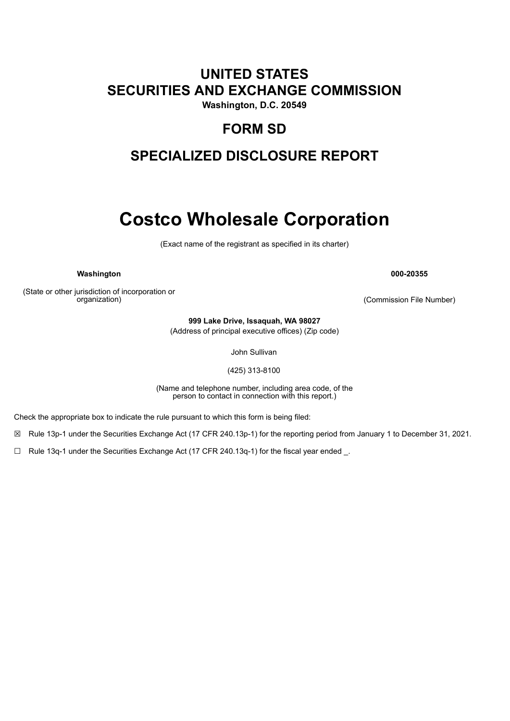## **UNITED STATES SECURITIES AND EXCHANGE COMMISSION**

**Washington, D.C. 20549**

### **FORM SD**

### **SPECIALIZED DISCLOSURE REPORT**

# **Costco Wholesale Corporation**

(Exact name of the registrant as specified in its charter)

**Washington 000-20355**

(State or other jurisdiction of incorporation or organization) (Commission File Number)

> **999 Lake Drive, Issaquah, WA 98027** (Address of principal executive offices) (Zip code)

> > John Sullivan

(425) 313-8100

(Name and telephone number, including area code, of the person to contact in connection with this report.)

Check the appropriate box to indicate the rule pursuant to which this form is being filed:

☒ Rule 13p-1 under the Securities Exchange Act (17 CFR 240.13p-1) for the reporting period from January 1 to December 31, 2021.

 $\Box$  Rule 13q-1 under the Securities Exchange Act (17 CFR 240.13q-1) for the fiscal year ended  $\Box$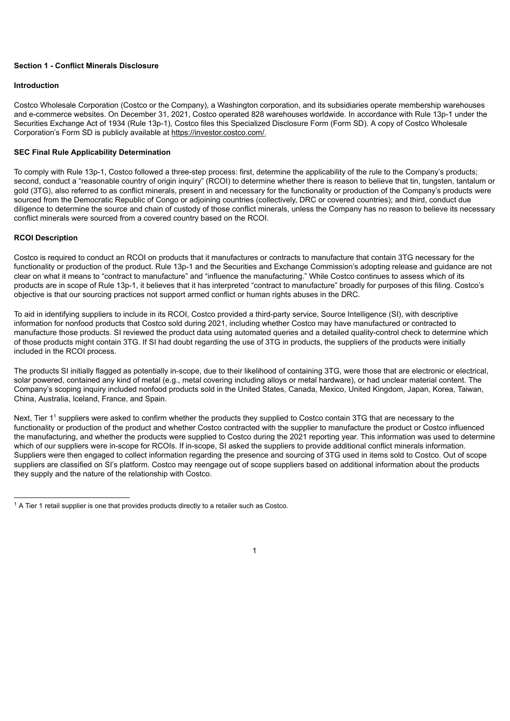#### **Section 1 - Conflict Minerals Disclosure**

#### **Introduction**

Costco Wholesale Corporation (Costco or the Company), a Washington corporation, and its subsidiaries operate membership warehouses and e-commerce websites. On December 31, 2021, Costco operated 828 warehouses worldwide. In accordance with Rule 13p-1 under the Securities Exchange Act of 1934 (Rule 13p-1), Costco files this Specialized Disclosure Form (Form SD). A copy of Costco Wholesale Corporation's Form SD is publicly available at https://investor.costco.com/.

#### **SEC Final Rule Applicability Determination**

To comply with Rule 13p-1, Costco followed a three-step process: first, determine the applicability of the rule to the Company's products; second, conduct a "reasonable country of origin inquiry" (RCOI) to determine whether there is reason to believe that tin, tungsten, tantalum or gold (3TG), also referred to as conflict minerals, present in and necessary for the functionality or production of the Company's products were sourced from the Democratic Republic of Congo or adjoining countries (collectively, DRC or covered countries); and third, conduct due diligence to determine the source and chain of custody of those conflict minerals, unless the Company has no reason to believe its necessary conflict minerals were sourced from a covered country based on the RCOI.

#### **RCOI Description**

Costco is required to conduct an RCOI on products that it manufactures or contracts to manufacture that contain 3TG necessary for the functionality or production of the product. Rule 13p-1 and the Securities and Exchange Commission's adopting release and quidance are not clear on what it means to "contract to manufacture" and "influence the manufacturing." While Costco continues to assess which of its products are in scope of Rule 13p-1, it believes that it has interpreted "contract to manufacture" broadly for purposes of this filing. Costco's objective is that our sourcing practices not support armed conflict or human rights abuses in the DRC.

To aid in identifying suppliers to include in its RCOI, Costco provided a third-party service, Source Intelligence (SI), with descriptive information for nonfood products that Costco sold during 2021, including whether Costco may have manufactured or contracted to manufacture those products. SI reviewed the product data using automated queries and a detailed quality-control check to determine which of those products might contain 3TG. If SI had doubt regarding the use of 3TG in products, the suppliers of the products were initially included in the RCOI process.

The products SI initially flagged as potentially in-scope, due to their likelihood of containing 3TG, were those that are electronic or electrical, solar powered, contained any kind of metal (e.g., metal covering including alloys or metal hardware), or had unclear material content. The Company's scoping inquiry included nonfood products sold in the United States, Canada, Mexico, United Kingdom, Japan, Korea, Taiwan, China, Australia, Iceland, France, and Spain.

Next, Tier 1<sup>1</sup> suppliers were asked to confirm whether the products they supplied to Costco contain 3TG that are necessary to the functionality or production of the product and whether Costco contracted with the supplier to manufacture the product or Costco influenced the manufacturing, and whether the products were supplied to Costco during the 2021 reporting year. This information was used to determine which of our suppliers were in-scope for RCOIs. If in-scope, SI asked the suppliers to provide additional conflict minerals information. Suppliers were then engaged to collect information regarding the presence and sourcing of 3TG used in items sold to Costco. Out of scope suppliers are classified on SI's platform. Costco may reengage out of scope suppliers based on additional information about the products they supply and the nature of the relationship with Costco.

 $1$  A Tier 1 retail supplier is one that provides products directly to a retailer such as Costco.

<sup>1</sup>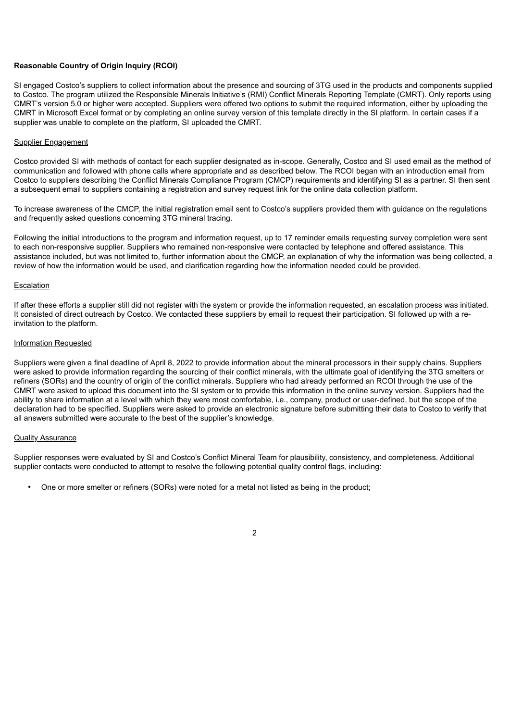#### **Reasonable Country of Origin Inquiry (RCOI)**

SI engaged Costco's suppliers to collect information about the presence and sourcing of 3TG used in the products and components supplied to Costco. The program utilized the Responsible Minerals Initiative's (RMI) Conflict Minerals Reporting Template (CMRT). Only reports using CMRT's version 5.0 or higher were accepted. Suppliers were offered two options to submit the required information, either by uploading the CMRT in Microsoft Excel format or by completing an online survey version of this template directly in the SI platform. In certain cases if a supplier was unable to complete on the platform, SI uploaded the CMRT.

#### Supplier Engagement

Costco provided SI with methods of contact for each supplier designated as in-scope. Generally, Costco and SI used email as the method of communication and followed with phone calls where appropriate and as described below. The RCOI began with an introduction email from Costco to suppliers describing the Conflict Minerals Compliance Program (CMCP) requirements and identifying SI as a partner. SI then sent a subsequent email to suppliers containing a registration and survey request link for the online data collection platform.

To increase awareness of the CMCP, the initial registration email sent to Costco's suppliers provided them with guidance on the regulations and frequently asked questions concerning 3TG mineral tracing.

Following the initial introductions to the program and information request, up to 17 reminder emails requesting survey completion were sent to each non-responsive supplier. Suppliers who remained non-responsive were contacted by telephone and offered assistance. This assistance included, but was not limited to, further information about the CMCP, an explanation of why the information was being collected, a review of how the information would be used, and clarification regarding how the information needed could be provided.

#### **Escalation**

If after these efforts a supplier still did not register with the system or provide the information requested, an escalation process was initiated. It consisted of direct outreach by Costco. We contacted these suppliers by email to request their participation. SI followed up with a reinvitation to the platform.

#### Information Requested

Suppliers were given a final deadline of April 8, 2022 to provide information about the mineral processors in their supply chains. Suppliers were asked to provide information regarding the sourcing of their conflict minerals, with the ultimate goal of identifying the 3TG smelters or refiners (SORs) and the country of origin of the conflict minerals. Suppliers who had already performed an RCOI through the use of the CMRT were asked to upload this document into the SI system or to provide this information in the online survey version. Suppliers had the ability to share information at a level with which they were most comfortable, i.e., company, product or user-defined, but the scope of the declaration had to be specified. Suppliers were asked to provide an electronic signature before submitting their data to Costco to verify that all answers submitted were accurate to the best of the supplier's knowledge.

#### Quality Assurance

Supplier responses were evaluated by SI and Costco's Conflict Mineral Team for plausibility, consistency, and completeness. Additional supplier contacts were conducted to attempt to resolve the following potential quality control flags, including:

• One or more smelter or refiners (SORs) were noted for a metal not listed as being in the product;

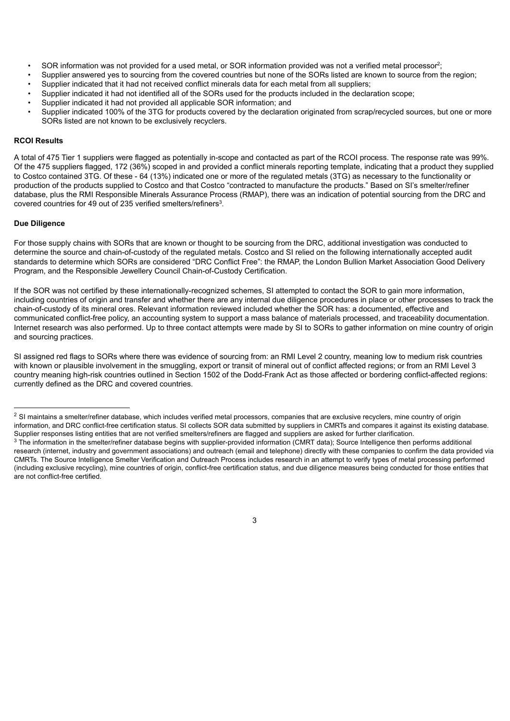- SOR information was not provided for a used metal, or SOR information provided was not a verified metal processor<sup>2</sup>;
- Supplier answered yes to sourcing from the covered countries but none of the SORs listed are known to source from the region;
- Supplier indicated that it had not received conflict minerals data for each metal from all suppliers;
- Supplier indicated it had not identified all of the SORs used for the products included in the declaration scope;
- Supplier indicated it had not provided all applicable SOR information; and
- Supplier indicated 100% of the 3TG for products covered by the declaration originated from scrap/recycled sources, but one or more SORs listed are not known to be exclusively recyclers.

#### **RCOI Results**

A total of 475 Tier 1 suppliers were flagged as potentially in-scope and contacted as part of the RCOI process. The response rate was 99%. Of the 475 suppliers flagged, 172 (36%) scoped in and provided a conflict minerals reporting template, indicating that a product they supplied to Costco contained 3TG. Of these - 64 (13%) indicated one or more of the regulated metals (3TG) as necessary to the functionality or production of the products supplied to Costco and that Costco "contracted to manufacture the products." Based on SI's smelter/refiner database, plus the RMI Responsible Minerals Assurance Process (RMAP), there was an indication of potential sourcing from the DRC and covered countries for 49 out of 235 verified smelters/refiners $3$ .

#### **Due Diligence**

For those supply chains with SORs that are known or thought to be sourcing from the DRC, additional investigation was conducted to determine the source and chain-of-custody of the regulated metals. Costco and SI relied on the following internationally accepted audit standards to determine which SORs are considered "DRC Conflict Free": the RMAP, the London Bullion Market Association Good Delivery Program, and the Responsible Jewellery Council Chain-of-Custody Certification.

If the SOR was not certified by these internationally-recognized schemes, SI attempted to contact the SOR to gain more information, including countries of origin and transfer and whether there are any internal due diligence procedures in place or other processes to track the chain-of-custody of its mineral ores. Relevant information reviewed included whether the SOR has: a documented, effective and communicated conflict-free policy, an accounting system to support a mass balance of materials processed, and traceability documentation. Internet research was also performed. Up to three contact attempts were made by SI to SORs to gather information on mine country of origin and sourcing practices.

SI assigned red flags to SORs where there was evidence of sourcing from: an RMI Level 2 country, meaning low to medium risk countries with known or plausible involvement in the smuggling, export or transit of mineral out of conflict affected regions; or from an RMI Level 3 country meaning high-risk countries outlined in Section 1502 of the Dodd-Frank Act as those affected or bordering conflict-affected regions: currently defined as the DRC and covered countries.

3

 $^2$  SI maintains a smelter/refiner database, which includes verified metal processors, companies that are exclusive recyclers, mine country of origin information, and DRC conflict-free certification status. SI collects SOR data submitted by suppliers in CMRTs and compares it against its existing database. Supplier responses listing entities that are not verified smelters/refiners are flagged and suppliers are asked for further clarification.

 $3$  The information in the smelter/refiner database begins with supplier-provided information (CMRT data); Source Intelligence then performs additional research (internet, industry and government associations) and outreach (email and telephone) directly with these companies to confirm the data provided via CMRTs. The Source Intelligence Smelter Verification and Outreach Process includes research in an attempt to verify types of metal processing performed (including exclusive recycling), mine countries of origin, conflict-free certification status, and due diligence measures being conducted for those entities that are not conflict-free certified.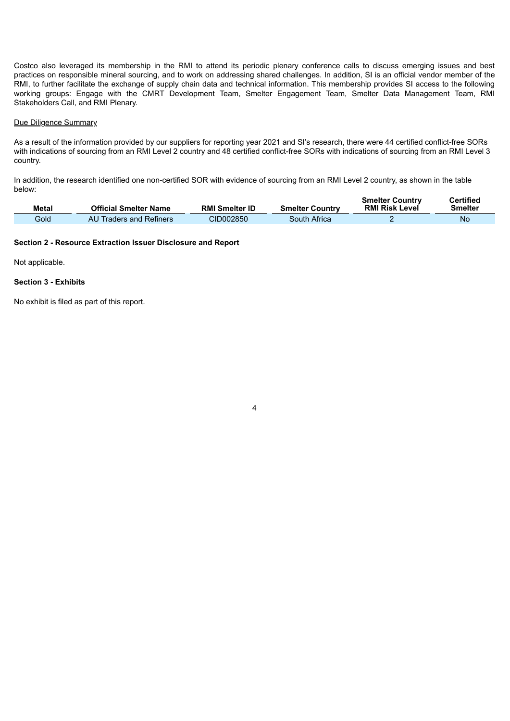Costco also leveraged its membership in the RMI to attend its periodic plenary conference calls to discuss emerging issues and best practices on responsible mineral sourcing, and to work on addressing shared challenges. In addition, SI is an official vendor member of the RMI, to further facilitate the exchange of supply chain data and technical information. This membership provides SI access to the following working groups: Engage with the CMRT Development Team, Smelter Engagement Team, Smelter Data Management Team, RMI Stakeholders Call, and RMI Plenary.

#### Due Diligence Summary

As a result of the information provided by our suppliers for reporting year 2021 and SI's research, there were 44 certified conflict-free SORs with indications of sourcing from an RMI Level 2 country and 48 certified conflict-free SORs with indications of sourcing from an RMI Level 3 country.

In addition, the research identified one non-certified SOR with evidence of sourcing from an RMI Level 2 country, as shown in the table below:

| <b>Metal</b> | <b>Official Smelter Name</b> | <b>RMI Smelter ID</b> | <b>Smelter Country</b> | <b>Siliener Country</b><br><b>RMI Risk Level</b> | cerunea<br><b>Smelter</b> |
|--------------|------------------------------|-----------------------|------------------------|--------------------------------------------------|---------------------------|
| Gold         | AU Traders and Refiners      | CID002850             | South Africa           |                                                  | <b>Nc</b>                 |

**Smelter Country**

**Certified**

#### **Section 2 - Resource Extraction Issuer Disclosure and Report**

Not applicable.

#### **Section 3 - Exhibits**

No exhibit is filed as part of this report.